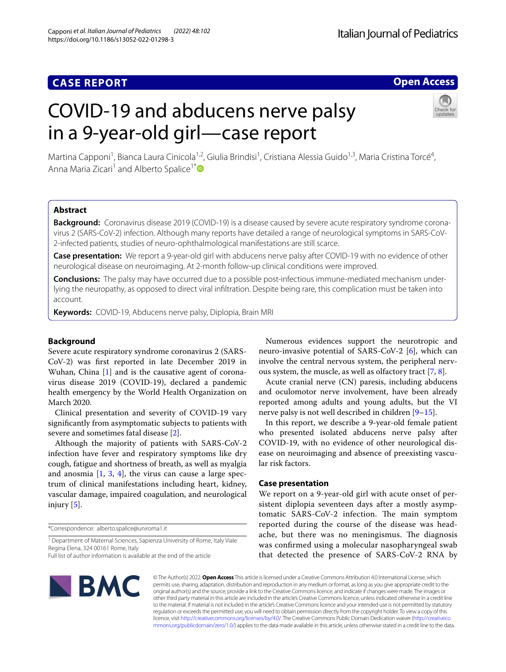# **CASE REPORT**

# **Open Access**

# COVID-19 and abducens nerve palsy in a 9-year-old girl—case report



Martina Capponi<sup>1</sup>, Bianca Laura Cinicola<sup>1,2</sup>, Giulia Brindisi<sup>1</sup>, Cristiana Alessia Guido<sup>1,3</sup>, Maria Cristina Torcé<sup>4</sup>, Anna Maria Zicari<sup>1</sup> and Alberto Spalice<sup>1\*</sup>

# **Abstract**

**Background:** Coronavirus disease 2019 (COVID-19) is a disease caused by severe acute respiratory syndrome coronavirus 2 (SARS-CoV-2) infection. Although many reports have detailed a range of neurological symptoms in SARS-CoV-2-infected patients, studies of neuro-ophthalmological manifestations are still scarce.

**Case presentation:** We report a 9-year-old girl with abducens nerve palsy after COVID-19 with no evidence of other neurological disease on neuroimaging. At 2-month follow-up clinical conditions were improved.

**Conclusions:** The palsy may have occurred due to a possible post-infectious immune-mediated mechanism underlying the neuropathy, as opposed to direct viral infltration. Despite being rare, this complication must be taken into account.

**Keywords:** COVID-19, Abducens nerve palsy, Diplopia, Brain MRI

## **Background**

Severe acute respiratory syndrome coronavirus 2 (SARS-CoV-2) was frst reported in late December 2019 in Wuhan, China [[1\]](#page-2-0) and is the causative agent of coronavirus disease 2019 (COVID-19), declared a pandemic health emergency by the World Health Organization on March 2020.

Clinical presentation and severity of COVID-19 vary signifcantly from asymptomatic subjects to patients with severe and sometimes fatal disease [\[2](#page-2-1)].

Although the majority of patients with SARS-CoV-2 infection have fever and respiratory symptoms like dry cough, fatigue and shortness of breath, as well as myalgia and anosmia  $[1, 3, 4]$  $[1, 3, 4]$  $[1, 3, 4]$  $[1, 3, 4]$  $[1, 3, 4]$  $[1, 3, 4]$  $[1, 3, 4]$ , the virus can cause a large spectrum of clinical manifestations including heart, kidney, vascular damage, impaired coagulation, and neurological injury [\[5](#page-2-4)].

\*Correspondence: alberto.spalice@uniroma1.it

<sup>1</sup> Department of Maternal Sciences, Sapienza University of Rome, Italy Viale Regina Elena, 324 00161 Rome, Italy

Full list of author information is available at the end of the article

Numerous evidences support the neurotropic and neuro-invasive potential of SARS-CoV-2 [\[6](#page-2-5)], which can involve the central nervous system, the peripheral nervous system, the muscle, as well as olfactory tract [\[7](#page-3-0), [8\]](#page-3-1).

Acute cranial nerve (CN) paresis, including abducens and oculomotor nerve involvement, have been already reported among adults and young adults, but the VI nerve palsy is not well described in children [[9](#page-3-2)[–15](#page-3-3)].

In this report, we describe a 9-year-old female patient who presented isolated abducens nerve palsy after COVID-19, with no evidence of other neurological disease on neuroimaging and absence of preexisting vascular risk factors.

## **Case presentation**

We report on a 9-year-old girl with acute onset of persistent diplopia seventeen days after a mostly asymptomatic SARS-CoV-2 infection. The main symptom reported during the course of the disease was headache, but there was no meningismus. The diagnosis was confrmed using a molecular nasopharyngeal swab that detected the presence of SARS-CoV-2 RNA by



© The Author(s) 2022. **Open Access** This article is licensed under a Creative Commons Attribution 4.0 International License, which permits use, sharing, adaptation, distribution and reproduction in any medium or format, as long as you give appropriate credit to the original author(s) and the source, provide a link to the Creative Commons licence, and indicate if changes were made. The images or other third party material in this article are included in the article's Creative Commons licence, unless indicated otherwise in a credit line to the material. If material is not included in the article's Creative Commons licence and your intended use is not permitted by statutory regulation or exceeds the permitted use, you will need to obtain permission directly from the copyright holder. To view a copy of this licence, visit [http://creativecommons.org/licenses/by/4.0/.](http://creativecommons.org/licenses/by/4.0/) The Creative Commons Public Domain Dedication waiver ([http://creativeco](http://creativecommons.org/publicdomain/zero/1.0/) [mmons.org/publicdomain/zero/1.0/](http://creativecommons.org/publicdomain/zero/1.0/)) applies to the data made available in this article, unless otherwise stated in a credit line to the data.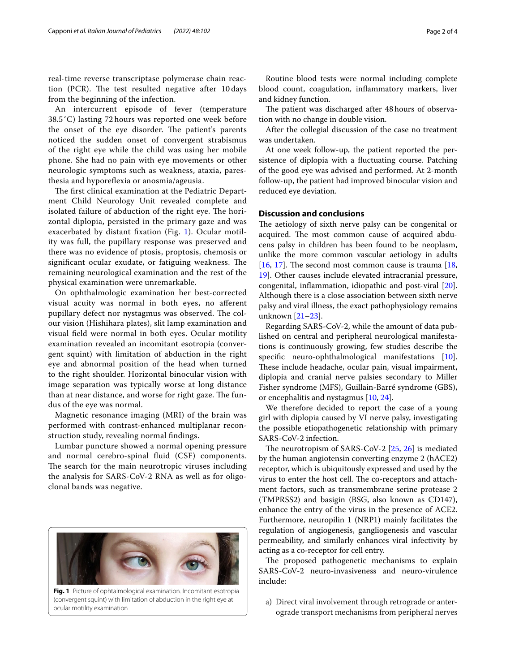real-time reverse transcriptase polymerase chain reaction (PCR). The test resulted negative after 10 days from the beginning of the infection.

An intercurrent episode of fever (temperature 38.5 °C) lasting 72 hours was reported one week before the onset of the eye disorder. The patient's parents noticed the sudden onset of convergent strabismus of the right eye while the child was using her mobile phone. She had no pain with eye movements or other neurologic symptoms such as weakness, ataxia, paresthesia and hyporeflexia or anosmia/ageusia.

The first clinical examination at the Pediatric Department Child Neurology Unit revealed complete and isolated failure of abduction of the right eye. The horizontal diplopia, persisted in the primary gaze and was exacerbated by distant fxation (Fig. [1\)](#page-1-0). Ocular motility was full, the pupillary response was preserved and there was no evidence of ptosis, proptosis, chemosis or significant ocular exudate, or fatiguing weakness. The remaining neurological examination and the rest of the physical examination were unremarkable.

On ophthalmologic examination her best-corrected visual acuity was normal in both eyes, no aferent pupillary defect nor nystagmus was observed. The colour vision (Hishihara plates), slit lamp examination and visual feld were normal in both eyes. Ocular motility examination revealed an incomitant esotropia (convergent squint) with limitation of abduction in the right eye and abnormal position of the head when turned to the right shoulder. Horizontal binocular vision with image separation was typically worse at long distance than at near distance, and worse for right gaze. The fun-

Magnetic resonance imaging (MRI) of the brain was performed with contrast-enhanced multiplanar reconstruction study, revealing normal fndings.

Lumbar puncture showed a normal opening pressure and normal cerebro-spinal fuid (CSF) components. The search for the main neurotropic viruses including the analysis for SARS-CoV-2 RNA as well as for oligoclonal bands was negative.

dus of the eye was normal.

<span id="page-1-0"></span>**Fig. 1** Picture of ophtalmological examination. Incomitant esotropia (convergent squint) with limitation of abduction in the right eye at ocular motility examination

Routine blood tests were normal including complete blood count, coagulation, infammatory markers, liver and kidney function.

The patient was discharged after 48 hours of observation with no change in double vision.

After the collegial discussion of the case no treatment was undertaken.

At one week follow-up, the patient reported the persistence of diplopia with a fuctuating course. Patching of the good eye was advised and performed. At 2-month follow-up, the patient had improved binocular vision and reduced eye deviation.

## **Discussion and conclusions**

The aetiology of sixth nerve palsy can be congenital or acquired. The most common cause of acquired abducens palsy in children has been found to be neoplasm, unlike the more common vascular aetiology in adults [[16,](#page-3-4) [17\]](#page-3-5). The second most common cause is trauma  $[18, 18]$  $[18, 18]$  $[18, 18]$ [19\]](#page-3-7). Other causes include elevated intracranial pressure, congenital, infammation, idiopathic and post-viral [\[20](#page-3-8)]. Although there is a close association between sixth nerve palsy and viral illness, the exact pathophysiology remains unknown [\[21–](#page-3-9)[23\]](#page-3-10).

Regarding SARS-CoV-2, while the amount of data published on central and peripheral neurological manifestations is continuously growing, few studies describe the specifc neuro-ophthalmological manifestations [\[10](#page-3-11)]. These include headache, ocular pain, visual impairment, diplopia and cranial nerve palsies secondary to Miller Fisher syndrome (MFS), Guillain-Barré syndrome (GBS), or encephalitis and nystagmus [[10](#page-3-11), [24\]](#page-3-12).

We therefore decided to report the case of a young girl with diplopia caused by VI nerve palsy, investigating the possible etiopathogenetic relationship with primary SARS-CoV-2 infection.

The neurotropism of SARS-CoV-2  $[25, 26]$  $[25, 26]$  $[25, 26]$  $[25, 26]$  is mediated by the human angiotensin converting enzyme 2 (hACE2) receptor, which is ubiquitously expressed and used by the virus to enter the host cell. The co-receptors and attachment factors, such as transmembrane serine protease 2 (TMPRSS2) and basigin (BSG, also known as CD147), enhance the entry of the virus in the presence of ACE2. Furthermore, neuropilin 1 (NRP1) mainly facilitates the regulation of angiogenesis, gangliogenesis and vascular permeability, and similarly enhances viral infectivity by acting as a co-receptor for cell entry.

The proposed pathogenetic mechanisms to explain SARS-CoV-2 neuro-invasiveness and neuro-virulence include:

a) Direct viral involvement through retrograde or anterograde transport mechanisms from peripheral nerves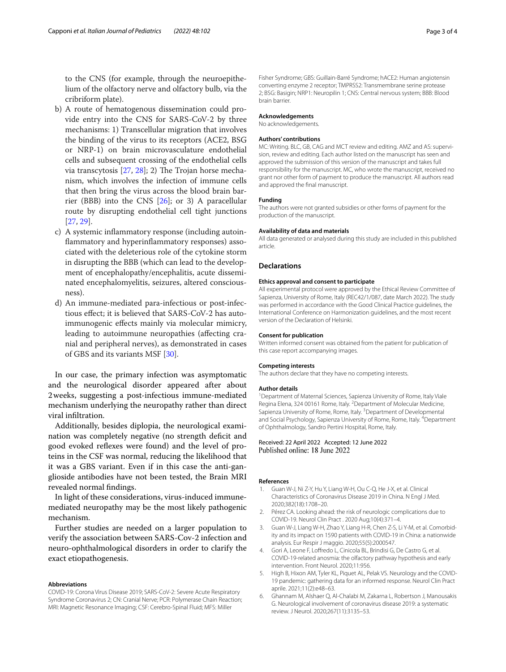to the CNS (for example, through the neuroepithelium of the olfactory nerve and olfactory bulb, via the cribriform plate).

- b) A route of hematogenous dissemination could provide entry into the CNS for SARS-CoV-2 by three mechanisms: 1) Transcellular migration that involves the binding of the virus to its receptors (ACE2, BSG or NRP-1) on brain microvasculature endothelial cells and subsequent crossing of the endothelial cells via transcytosis  $[27, 28]$  $[27, 28]$  $[27, 28]$  $[27, 28]$ ; 2) The Trojan horse mechanism, which involves the infection of immune cells that then bring the virus across the blood brain barrier (BBB) into the CNS [[26](#page-3-14)]; or 3) A paracellular route by disrupting endothelial cell tight junctions [[27,](#page-3-15) [29\]](#page-3-17).
- c) A systemic infammatory response (including autoinfammatory and hyperinfammatory responses) associated with the deleterious role of the cytokine storm in disrupting the BBB (which can lead to the development of encephalopathy/encephalitis, acute disseminated encephalomyelitis, seizures, altered consciousness).
- d) An immune-mediated para-infectious or post-infectious efect; it is believed that SARS-CoV-2 has autoimmunogenic efects mainly via molecular mimicry, leading to autoimmune neuropathies (afecting cranial and peripheral nerves), as demonstrated in cases of GBS and its variants MSF [\[30](#page-3-18)].

In our case, the primary infection was asymptomatic and the neurological disorder appeared after about 2weeks, suggesting a post-infectious immune-mediated mechanism underlying the neuropathy rather than direct viral infltration.

Additionally, besides diplopia, the neurological examination was completely negative (no strength defcit and good evoked refexes were found) and the level of proteins in the CSF was normal, reducing the likelihood that it was a GBS variant. Even if in this case the anti-ganglioside antibodies have not been tested, the Brain MRI revealed normal fndings.

In light of these considerations, virus-induced immunemediated neuropathy may be the most likely pathogenic mechanism.

Further studies are needed on a larger population to verify the association between SARS-Cov-2 infection and neuro-ophthalmological disorders in order to clarify the exact etiopathogenesis.

#### **Abbreviations**

COVID-19: Corona Virus Disease 2019; SARS-CoV-2: Severe Acute Respiratory Syndrome Coronavirus 2; CN: Cranial Nerve; PCR: Polymerase Chain Reaction; MRI: Magnetic Resonance Imaging; CSF: Cerebro-Spinal Fluid; MFS: Miller

Fisher Syndrome; GBS: Guillain-Barré Syndrome; hACE2: Human angiotensin converting enzyme 2 receptor; TMPRSS2: Transmembrane serine protease 2; BSG: Basigin; NRP1: Neuropilin 1; CNS: Central nervous system; BBB: Blood brain barrier.

#### **Acknowledgements**

No acknowledgements.

#### **Authors' contributions**

MC: Writing. BLC, GB, CAG and MCT review and editing. AMZ and AS: supervision, review and editing. Each author listed on the manuscript has seen and approved the submission of this version of the manuscript and takes full responsibility for the manuscript. MC, who wrote the manuscript, received no grant nor other form of payment to produce the manuscript. All authors read and approved the fnal manuscript.

#### **Funding**

The authors were not granted subsidies or other forms of payment for the production of the manuscript.

#### **Availability of data and materials**

All data generated or analysed during this study are included in this published article.

#### **Declarations**

#### **Ethics approval and consent to participate**

All experimental protocol were approved by the Ethical Review Committee of Sapienza, University of Rome, Italy (REC42/1/087, date March 2022). The study was performed in accordance with the Good Clinical Practice guidelines, the International Conference on Harmonization guidelines, and the most recent version of the Declaration of Helsinki.

#### **Consent for publication**

Written informed consent was obtained from the patient for publication of this case report accompanying images.

#### **Competing interests**

The authors declare that they have no competing interests.

#### **Author details**

<sup>1</sup> Department of Maternal Sciences, Sapienza University of Rome, Italy Viale Regina Elena, 324 00161 Rome, Italy. <sup>2</sup> Department of Molecular Medicine, Sapienza University of Rome, Rome, Italy.<sup>3</sup> Department of Developmental and Social Psychology, Sapienza University of Rome, Rome, Italy. <sup>4</sup>Department of Ophthalmology, Sandro Pertini Hospital, Rome, Italy.

# Received: 22 April 2022 Accepted: 12 June 2022

#### **References**

- <span id="page-2-0"></span>1. Guan W-J, Ni Z-Y, Hu Y, Liang W-H, Ou C-Q, He J-X, et al. Clinical Characteristics of Coronavirus Disease 2019 in China. N Engl J Med. 2020;382(18):1708–20.
- <span id="page-2-1"></span>2. Pérez CA. Looking ahead: the risk of neurologic complications due to COVID-19. Neurol Clin Pract . 2020 Aug;10(4):371–4.
- <span id="page-2-2"></span>3. Guan W-J, Liang W-H, Zhao Y, Liang H-R, Chen Z-S, Li Y-M, et al. Comorbidity and its impact on 1590 patients with COVID-19 in China: a nationwide analysis. Eur Respir J maggio. 2020;55(5):2000547.
- <span id="page-2-3"></span>4. Gori A, Leone F, Lofredo L, Cinicola BL, Brindisi G, De Castro G, et al. COVID-19-related anosmia: the olfactory pathway hypothesis and early intervention. Front Neurol. 2020;11:956.
- <span id="page-2-4"></span>5. High B, Hixon AM, Tyler KL, Piquet AL, Pelak VS. Neurology and the COVID-19 pandemic: gathering data for an informed response. Neurol Clin Pract aprile. 2021;11(2):e48–63.
- <span id="page-2-5"></span>6. Ghannam M, Alshaer Q, Al-Chalabi M, Zakarna L, Robertson J, Manousakis G. Neurological involvement of coronavirus disease 2019: a systematic review. J Neurol. 2020;267(11):3135–53.